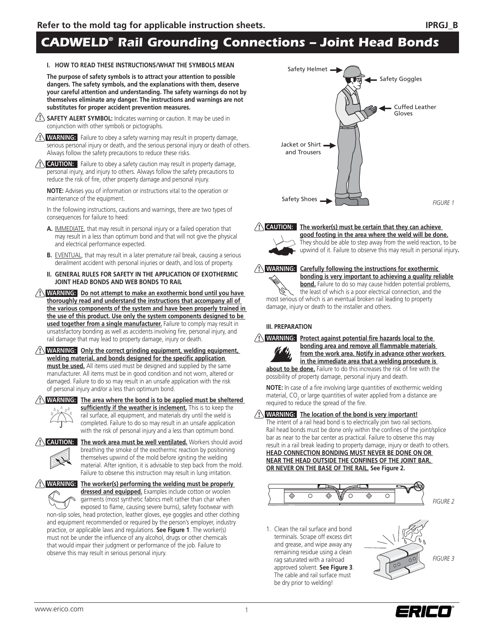# *CADWELD® Rail Grounding Connections – Joint Head Bonds*

#### **I. HOW TO READ THESE INSTRUCTIONS/WHAT THE SYMBOLS MEAN**

**The purpose of safety symbols is to attract your attention to possible dangers. The safety symbols, and the explanations with them, deserve your careful attention and understanding. The safety warnings do not by themselves eliminate any danger. The instructions and warnings are not substitutes for proper accident prevention measures.**

- **SAFETY ALERT SYMBOL:** Indicates warning or caution. It may be used in **!** conjunction with other symbols or pictographs.
- **! WARNING:** Failure to obey a safety warning may result in property damage, serious personal injury or death, and the serious personal injury or death of others. Always follow the safety precautions to reduce these risks.

**I CAUTION:** Failure to obey a safety caution may result in property damage, personal injury, and injury to others. Always follow the safety precautions to reduce the risk of fire, other property damage and personal injury.

**NOTE:** Advises you of information or instructions vital to the operation or maintenance of the equipment.

In the following instructions, cautions and warnings, there are two types of consequences for failure to heed:

- **A.** IMMEDIATE, that may result in personal injury or a failed operation that may result in a less than optimum bond and that will not give the physical and electrical performance expected.
- **B.** EVENTUAL, that may result in a later premature rail break, causing a serious derailment accident with personal injuries or death, and loss of property.
- **II. GENERAL RULES FOR SAFETY IN THE APPLICATION OF EXOTHERMIC JOINT HEAD BONDS AND WEB BONDS TO RAIL**
- **! WARNING: Do not attempt to make an exothermic bond until you have thoroughly read and understand the instructions that accompany all of the various components of the system and have been properly trained in the use of this product. Use only the system components designed to be used together from a single manufacturer.** Failure to comply may result in unsatisfactory bonding as well as accidents involving fire, personal injury, and rail damage that may lead to property damage, injury or death.
- **! WARNING: Only the correct grinding equipment, welding equipment,**  welding material, and bonds designed for the specific application **must be used.** All items used must be designed and supplied by the same manufacturer. All items must be in good condition and not worn, altered or damaged. Failure to do so may result in an unsafe application with the risk of personal injury and/or a less than optimum bond.



**! WARNING: The area where the bond is to be applied must be sheltered**  sufficiently if the weather is inclement. This is to keep the

 rail surface, all equipment, and materials dry until the weld is completed. Failure to do so may result in an unsafe application with the risk of personal injury and a less than optimum bond.



The work area must be well ventilated. Workers should avoid breathing the smoke of the exothermic reaction by positioning themselves upwind of the mold before igniting the welding material. After ignition, it is advisable to step back from the mold. Failure to observe this instruction may result in lung irritation.

**! WARNING: The worker(s) performing the welding must be properly dressed and equipped.** Examples include cotton or woolen garments (most synthetic fabrics melt rather than char when exposed to flame, causing severe burns), safety footwear with non-slip soles, head protection, leather gloves, eye goggles and other clothing and equipment recommended or required by the person's employer, industry practice, or applicable laws and regulations. **See Figure 1**. The worker(s) must not be under the influence of any alcohol, drugs or other chemicals that would impair their judgment or performance of the job. Failure to observe this may result in serious personal injury.



**! CAUTION: The worker(s) must be certain that they can achieve** 



 **good footing in the area where the weld will be done.**  They should be able to step away from the weld reaction, to be upwind of it. Failure to observe this may result in personal injury**.**

#### **! Carefully following the instructions for exothermic bonding is very important to achieving a quality reliable**

**bond.** Failure to do so may cause hidden potential problems, the least of which is a poor electrical connection, and the most serious of which is an eventual broken rail leading to property damage, injury or death to the installer and others.

#### **III. PREPARATION**



**!** WARNING: Protect against potential fire hazards local to the **bonding area and remove all flammable materials from the work area. Notify in advance other workers in the immediate area that a welding procedure is** 

about to be done. Failure to do this increases the risk of fire with the possibility of property damage, personal injury and death.

**NOTE:** In case of a fire involving large quantities of exothermic welding material, CO<sub>2</sub> or large quantities of water applied from a distance are required to reduce the spread of the fire.

### **! WARNING: The location of the bond is very important!**

The intent of a rail head bond is to electrically join two rail sections. Rail head bonds must be done only within the confines of the joint/splice bar as near to the bar center as practical. Failure to observe this may result in a rail break leading to property damage, injury or death to others. **HEAD CONNECTION BONDING MUST NEVER BE DONE ON OR NEAR THE HEAD OUTSIDE THE CONFINES OF THE JOINT BAR, OR NEVER ON THE BASE OF THE RAIL. See Figure 2.**



1. Clean the rail surface and bond terminals. Scrape off excess dirt and grease, and wipe away any remaining residue using a clean rag saturated with a railroad approved solvent. **See Figure 3**. The cable and rail surface must be dry prior to welding!